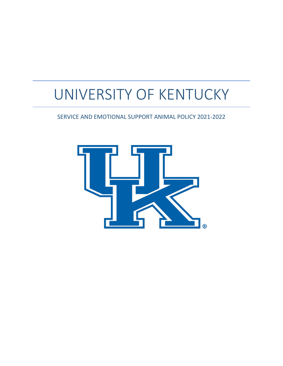# UNIVERSITY OF KENTUCKY

SERVICE AND EMOTIONAL SUPPORT ANIMAL POLICY 2021-2022

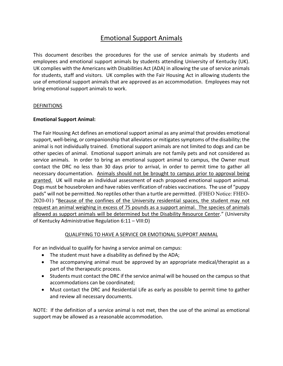## Emotional Support Animals

This document describes the procedures for the use of service animals by students and employees and emotional support animals by students attending University of Kentucky (UK). UK complies with the Americans with Disabilities Act (ADA) in allowing the use of service animals for students, staff and visitors. UK complies with the Fair Housing Act in allowing students the use of emotional support animals that are approved as an accommodation. Employees may not bring emotional support animals to work.

#### **DEFINITIONS**

#### **Emotional Support Animal:**

The Fair Housing Act defines an emotional support animal as any animal that provides emotional support, well-being, or companionship that alleviates or mitigates symptoms of the disability; the animal is not individually trained. Emotional support animals are not limited to dogs and can be other species of animal. Emotional support animals are not family pets and not considered as service animals. In order to bring an emotional support animal to campus, the Owner must contact the DRC no less than 30 days prior to arrival, in order to permit time to gather all necessary documentation. Animals should not be brought to campus prior to approval being granted. UK will make an individual assessment of each proposed emotional support animal. Dogs must be housebroken and have rabies verification of rabies vaccinations. The use of "puppy pads" will not be permitted. No reptiles other than a turtle are permitted. (FHEO Notice: FHEO-2020-01) "Because of the confines of the University residential spaces, the student may not request an animal weighing in excess of 75 pounds as a support animal. The species of animals allowed as support animals will be determined but the Disability Resource Center." (University of Kentucky Administrative Regulation 6:11 – VIII:D)

#### QUALIFYING TO HAVE A SERVICE OR EMOTIONAL SUPPORT ANIMAL

For an individual to qualify for having a service animal on campus:

- The student must have a disability as defined by the ADA;
- The accompanying animal must be approved by an appropriate medical/therapist as a part of the therapeutic process.
- Students must contact the DRC if the service animal will be housed on the campus so that accommodations can be coordinated;
- Must contact the DRC and Residential Life as early as possible to permit time to gather and review all necessary documents.

NOTE: If the definition of a service animal is not met, then the use of the animal as emotional support may be allowed as a reasonable accommodation.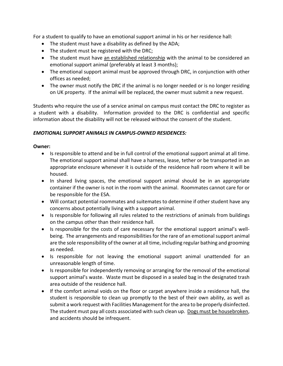For a student to qualify to have an emotional support animal in his or her residence hall:

- The student must have a disability as defined by the ADA;
- The student must be registered with the DRC;
- The student must have an established relationship with the animal to be considered an emotional support animal (preferably at least 3 months);
- The emotional support animal must be approved through DRC, in conjunction with other offices as needed;
- The owner must notify the DRC if the animal is no longer needed or is no longer residing on UK property. If the animal will be replaced, the owner must submit a new request.

Students who require the use of a service animal on campus must contact the DRC to register as a student with a disability. Information provided to the DRC is confidential and specific information about the disability will not be released without the consent of the student.

## *EMOTIONAL SUPPORT ANIMALS IN CAMPUS-OWNED RESIDENCES:*

## **Owner:**

- Is responsible to attend and be in full control of the emotional support animal at all time. The emotional support animal shall have a harness, lease, tether or be transported in an appropriate enclosure whenever it is outside of the residence hall room where it will be housed.
- In shared living spaces, the emotional support animal should be in an appropriate container if the owner is not in the room with the animal. Roommates cannot care for or be responsible for the ESA.
- Will contact potential roommates and suitemates to determine if other student have any concerns about potentially living with a support animal.
- Is responsible for following all rules related to the restrictions of animals from buildings on the campus other than their residence hall.
- Is responsible for the costs of care necessary for the emotional support animal's wellbeing. The arrangements and responsibilities for the rare of an emotional support animal are the sole responsibility of the owner at all time, including regular bathing and grooming as needed.
- Is responsible for not leaving the emotional support animal unattended for an unreasonable length of time.
- Is responsible for independently removing or arranging for the removal of the emotional support animal's waste. Waste must be disposed in a sealed bag in the designated trash area outside of the residence hall.
- If the comfort animal voids on the floor or carpet anywhere inside a residence hall, the student is responsible to clean up promptly to the best of their own ability, as well as submit a work request with Facilities Management for the area to be properly disinfected. The student must pay all costs associated with such clean up. Dogs must be housebroken, and accidents should be infrequent.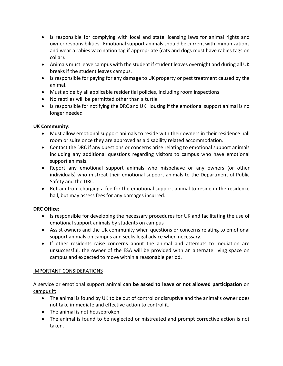- Is responsible for complying with local and state licensing laws for animal rights and owner responsibilities. Emotional support animals should be current with immunizations and wear a rabies vaccination tag if appropriate (cats and dogs must have rabies tags on collar).
- Animals must leave campus with the student if student leaves overnight and during all UK breaks if the student leaves campus.
- Is responsible for paying for any damage to UK property or pest treatment caused by the animal.
- Must abide by all applicable residential policies, including room inspections
- No reptiles will be permitted other than a turtle
- Is responsible for notifying the DRC and UK Housing if the emotional support animal is no longer needed

## **UK Community:**

- Must allow emotional support animals to reside with their owners in their residence hall room or suite once they are approved as a disability related accommodation.
- Contact the DRC if any questions or concerns arise relating to emotional support animals including any additional questions regarding visitors to campus who have emotional support animals.
- Report any emotional support animals who misbehave or any owners (or other individuals) who mistreat their emotional support animals to the Department of Public Safety and the DRC.
- Refrain from charging a fee for the emotional support animal to reside in the residence hall, but may assess fees for any damages incurred.

## **DRC Office:**

- Is responsible for developing the necessary procedures for UK and facilitating the use of emotional support animals by students on campus
- Assist owners and the UK community when questions or concerns relating to emotional support animals on campus and seeks legal advice when necessary.
- If other residents raise concerns about the animal and attempts to mediation are unsuccessful, the owner of the ESA will be provided with an alternate living space on campus and expected to move within a reasonable period.

## IMPORTANT CONSIDERATIONS

A service or emotional support animal **can be asked to leave or not allowed participation** on campus if:

- The animal is found by UK to be out of control or disruptive and the animal's owner does not take immediate and effective action to control it.
- The animal is not housebroken
- The animal is found to be neglected or mistreated and prompt corrective action is not taken.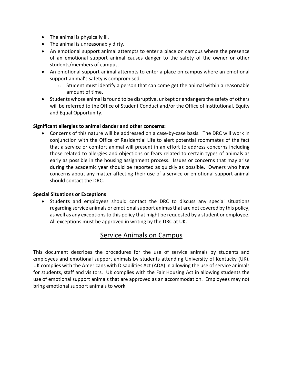- The animal is physically ill.
- The animal is unreasonably dirty.
- An emotional support animal attempts to enter a place on campus where the presence of an emotional support animal causes danger to the safety of the owner or other students/members of campus.
- An emotional support animal attempts to enter a place on campus where an emotional support animal's safety is compromised.
	- $\circ$  Student must identify a person that can come get the animal within a reasonable amount of time.
- Students whose animal is found to be disruptive, unkept or endangers the safety of others will be referred to the Office of Student Conduct and/or the Office of Institutional, Equity and Equal Opportunity.

## **Significant allergies to animal dander and other concerns:**

• Concerns of this nature will be addressed on a case-by-case basis. The DRC will work in conjunction with the Office of Residential Life to alert potential roommates of the fact that a service or comfort animal will present in an effort to address concerns including those related to allergies and objections or fears related to certain types of animals as early as possible in the housing assignment process. Issues or concerns that may arise during the academic year should be reported as quickly as possible. Owners who have concerns about any matter affecting their use of a service or emotional support animal should contact the DRC.

#### **Special Situations or Exceptions**

• Students and employees should contact the DRC to discuss any special situations regarding service animals or emotional support animas that are not covered by this policy, as well as any exceptions to this policy that might be requested by a student or employee. All exceptions must be approved in writing by the DRC at UK.

## Service Animals on Campus

This document describes the procedures for the use of service animals by students and employees and emotional support animals by students attending University of Kentucky (UK). UK complies with the Americans with Disabilities Act (ADA) in allowing the use of service animals for students, staff and visitors. UK complies with the Fair Housing Act in allowing students the use of emotional support animals that are approved as an accommodation. Employees may not bring emotional support animals to work.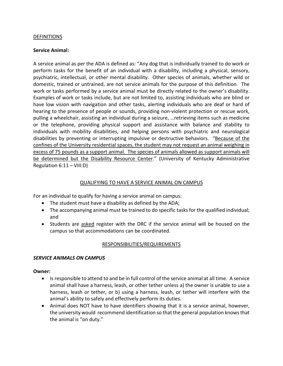#### **DEFINITIONS**

#### **Service Animal:**

A service animal as per the ADA is defined as: "Any dog that is individually trained to do work or perform tasks for the benefit of an individual with a disability, including a physical, sensory, psychiatric, intellectual, or other mental disability. Other species of animals, whether wild or domestic, trained or untrained, are not service animals for the purpose of this definition. The work or tasks performed by a service animal must be directly related to the owner's disability. Examples of work or tasks include, but are not limited to, assisting individuals who are blind or have low vision with navigation and other tasks, alerting individuals who are deaf or hard of hearing to the presence of people or sounds, providing non-violent protection or rescue work, pulling a wheelchair, assisting an individual during a seizure, …retrieving items such as medicine or the telephone, providing physical support and assistance with balance and stability to individuals with mobility disabilities, and helping persons with psychiatric and neurological disabilities by preventing or interrupting impulsive or destructive behaviors. "Because of the confines of the University residential spaces, the student may not request an animal weighing in excess of 75 pounds as a support animal. The species of animals allowed as support animals will be determined but the Disability Resource Center." (University of Kentucky Administrative Regulation 6:11 – VIII:D)

#### QUALIFYING TO HAVE A SERVICE ANIMAL ON CAMPUS

For an individual to qualify for having a service animal on campus:

- The student must have a disability as defined by the ADA;
- The accompanying animal must be trained to do specific tasks for the qualified individual; and
- Students are asked register with the DRC if the service animal will be housed on the campus so that accommodations can be coordinated.

#### RESPONSIBILITIES/REQUIREMENTS

#### *SERVICE ANIMALS ON CAMPUS*

#### **Owner:**

- Is responsible to attend to and be in full control of the service animal at all time. A service animal shall have a harness, leash, or other tether unless a) the owner is unable to use a harness, leash or tether, or b) using a harness, leash, or tether will interfere with the animal's ability to safely and effectively perform its duties.
- Animal does NOT have to have identifiers showing that it is a service animal, however, the university would recommend identification so that the general population knows that the animal is "on duty."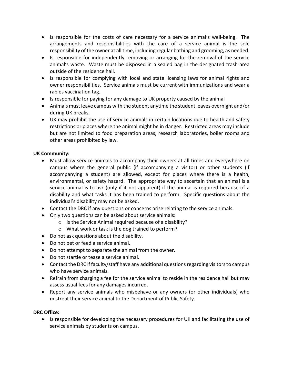- Is responsible for the costs of care necessary for a service animal's well-being. The arrangements and responsibilities with the care of a service animal is the sole responsibility of the owner at all time, including regular bathing and grooming, as needed.
- Is responsible for independently removing or arranging for the removal of the service animal's waste. Waste must be disposed in a sealed bag in the designated trash area outside of the residence hall.
- Is responsible for complying with local and state licensing laws for animal rights and owner responsibilities. Service animals must be current with immunizations and wear a rabies vaccination tag.
- Is responsible for paying for any damage to UK property caused by the animal
- Animals must leave campus with the student anytime the student leaves overnight and/or during UK breaks.
- UK may prohibit the use of service animals in certain locations due to health and safety restrictions or places where the animal might be in danger. Restricted areas may include but are not limited to food preparation areas, research laboratories, boiler rooms and other areas prohibited by law.

## **UK Community:**

- Must allow service animals to accompany their owners at all times and everywhere on campus where the general public (if accompanying a visitor) or other students (if accompanying a student) are allowed, except for places where there is a health, environmental, or safety hazard. The appropriate way to ascertain that an animal is a service animal is to ask (only if it not apparent) if the animal is required because of a disability and what tasks it has been trained to perform. Specific questions about the individual's disability may not be asked.
- Contact the DRC if any questions or concerns arise relating to the service animals.
- Only two questions can be asked about service animals:
	- o Is the Service Animal required because of a disability?
	- o What work or task is the dog trained to perform?
- Do not ask questions about the disability.
- Do not pet or feed a service animal.
- Do not attempt to separate the animal from the owner.
- Do not startle or tease a service animal.
- Contact the DRC if faculty/staff have any additional questions regarding visitors to campus who have service animals.
- Refrain from charging a fee for the service animal to reside in the residence hall but may assess usual fees for any damages incurred.
- Report any service animals who misbehave or any owners (or other individuals) who mistreat their service animal to the Department of Public Safety.

#### **DRC Office:**

• Is responsible for developing the necessary procedures for UK and facilitating the use of service animals by students on campus.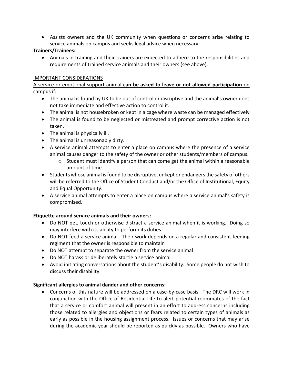• Assists owners and the UK community when questions or concerns arise relating to service animals on campus and seeks legal advice when necessary.

## **Trainers/Trainees:**

• Animals in training and their trainers are expected to adhere to the responsibilities and requirements of trained service animals and their owners (see above).

## IMPORTANT CONSIDERATIONS

A service or emotional support animal **can be asked to leave or not allowed participation** on campus if:

- The animal is found by UK to be out of control or disruptive and the animal's owner does not take immediate and effective action to control it.
- The animal is not housebroken or kept in a cage where waste can be managed effectively
- The animal is found to be neglected or mistreated and prompt corrective action is not taken.
- The animal is physically ill.
- The animal is unreasonably dirty.
- A service animal attempts to enter a place on campus where the presence of a service animal causes danger to the safety of the owner or other students/members of campus.
	- $\circ$  Student must identify a person that can come get the animal within a reasonable amount of time.
- Students whose animal is found to be disruptive, unkept or endangers the safety of others will be referred to the Office of Student Conduct and/or the Office of Institutional, Equity and Equal Opportunity.
- A service animal attempts to enter a place on campus where a service animal's safety is compromised.

## **Etiquette around service animals and their owners:**

- Do NOT pet, touch or otherwise distract a service animal when it is working. Doing so may interfere with its ability to perform its duties
- Do NOT feed a service animal. Their work depends on a regular and consistent feeding regiment that the owner is responsible to maintain
- Do NOT attempt to separate the owner from the service animal
- Do NOT harass or deliberately startle a service animal
- Avoid initiating conversations about the student's disability. Some people do not wish to discuss their disability.

## **Significant allergies to animal dander and other concerns:**

• Concerns of this nature will be addressed on a case-by-case basis. The DRC will work in conjunction with the Office of Residential Life to alert potential roommates of the fact that a service or comfort animal will present in an effort to address concerns including those related to allergies and objections or fears related to certain types of animals as early as possible in the housing assignment process. Issues or concerns that may arise during the academic year should be reported as quickly as possible. Owners who have